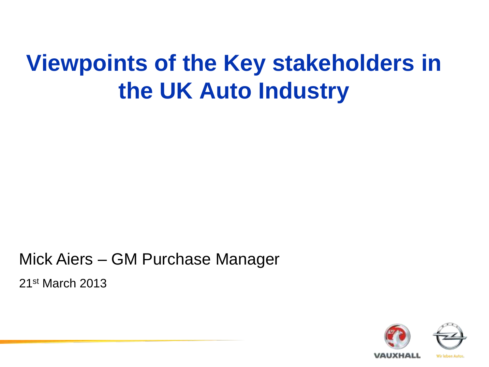# **Viewpoints of the Key stakeholders in** the UK Auto Industry

Mick Aiers - GM Purchase Manager

21<sup>st</sup> March 2013

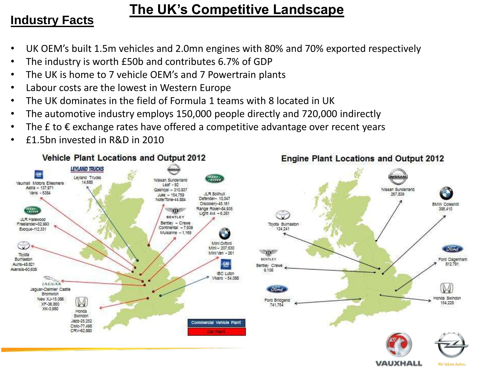#### **The UK's Competitive Landscape**

#### **Industry Facts**

- UK OEM's built 1.5m vehicles and 2.0mn engines with 80% and 70% exported respectively
- The industry is worth £50b and contributes 6.7% of GDP
- The UK is home to 7 vehicle OEM's and 7 Powertrain plants
- Labour costs are the lowest in Western Europe
- The UK dominates in the field of Formula 1 teams with 8 located in UK
- The automotive industry employs 150,000 people directly and 720,000 indirectly
- The  $E$  to  $E$  exchange rates have offered a competitive advantage over recent years
- £1.5bn invested in R&D in 2010

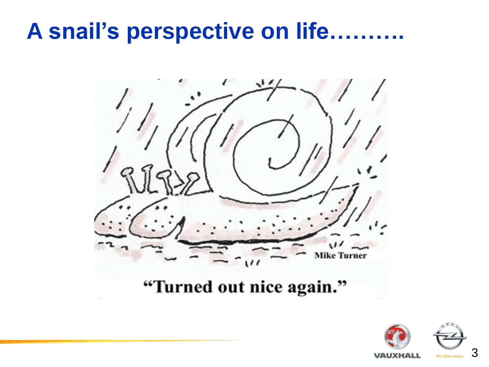## A snail's perspective on life..........



"Turned out nice again."

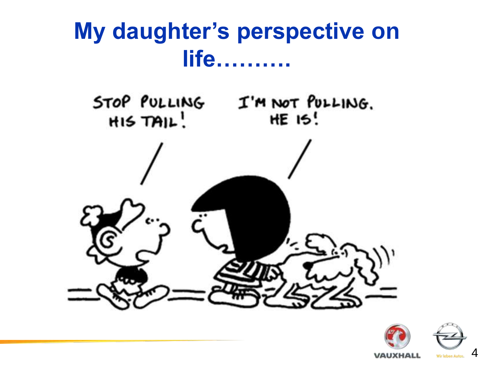

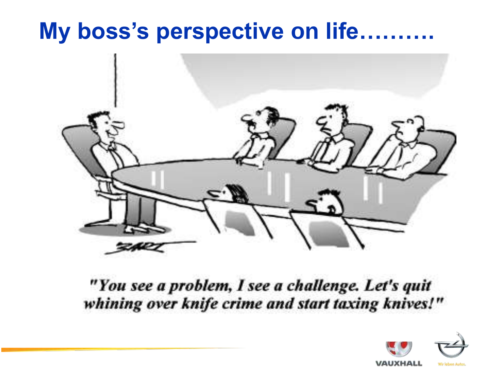## My boss's perspective on life..........



"You see a problem, I see a challenge. Let's quit whining over knife crime and start taxing knives!"

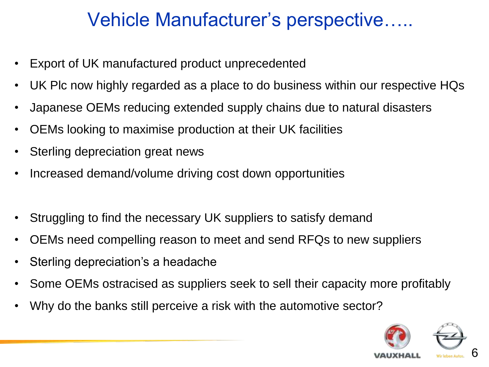## Vehicle Manufacturer's perspective…..

- Export of UK manufactured product unprecedented
- UK Plc now highly regarded as a place to do business within our respective HQs
- Japanese OEMs reducing extended supply chains due to natural disasters
- OEMs looking to maximise production at their UK facilities
- Sterling depreciation great news
- Increased demand/volume driving cost down opportunities
- Struggling to find the necessary UK suppliers to satisfy demand
- OEMs need compelling reason to meet and send RFQs to new suppliers
- Sterling depreciation's a headache
- Some OEMs ostracised as suppliers seek to sell their capacity more profitably
- Why do the banks still perceive a risk with the automotive sector?

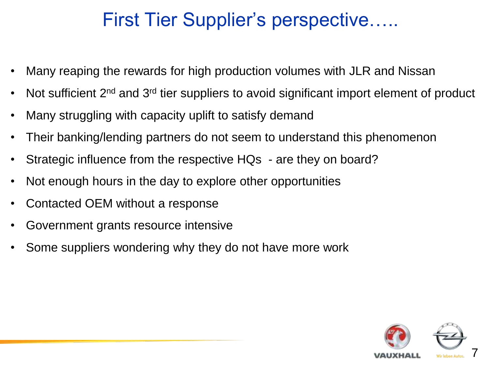## First Tier Supplier's perspective…..

- Many reaping the rewards for high production volumes with JLR and Nissan
- Not sufficient 2<sup>nd</sup> and 3<sup>rd</sup> tier suppliers to avoid significant import element of product
- Many struggling with capacity uplift to satisfy demand
- Their banking/lending partners do not seem to understand this phenomenon
- Strategic influence from the respective HQs are they on board?
- Not enough hours in the day to explore other opportunities
- Contacted OEM without a response
- Government grants resource intensive
- Some suppliers wondering why they do not have more work

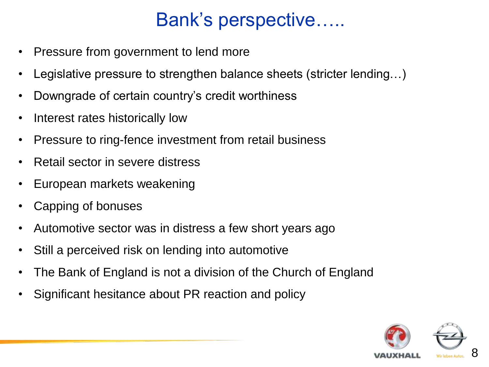## Bank's perspective…..

- Pressure from government to lend more
- Legislative pressure to strengthen balance sheets (stricter lending…)
- Downgrade of certain country's credit worthiness
- Interest rates historically low
- Pressure to ring-fence investment from retail business
- Retail sector in severe distress
- European markets weakening
- Capping of bonuses
- Automotive sector was in distress a few short years ago
- Still a perceived risk on lending into automotive
- The Bank of England is not a division of the Church of England
- Significant hesitance about PR reaction and policy

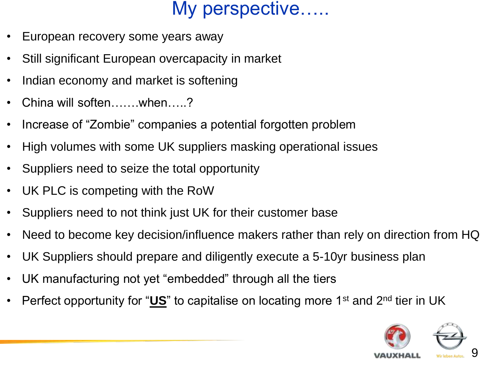#### My perspective…..

- European recovery some years away
- Still significant European overcapacity in market
- Indian economy and market is softening
- China will soften…….when…..?
- Increase of "Zombie" companies a potential forgotten problem
- High volumes with some UK suppliers masking operational issues
- Suppliers need to seize the total opportunity
- UK PLC is competing with the RoW
- Suppliers need to not think just UK for their customer base
- Need to become key decision/influence makers rather than rely on direction from HQ
- UK Suppliers should prepare and diligently execute a 5-10yr business plan
- UK manufacturing not yet "embedded" through all the tiers
- Perfect opportunity for "**US**" to capitalise on locating more 1st and 2nd tier in UK

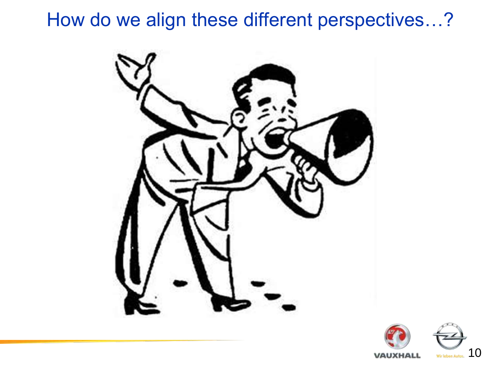#### How do we align these different perspectives...?





10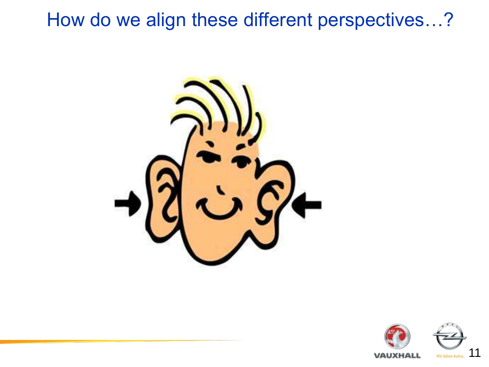#### How do we align these different perspectives…?



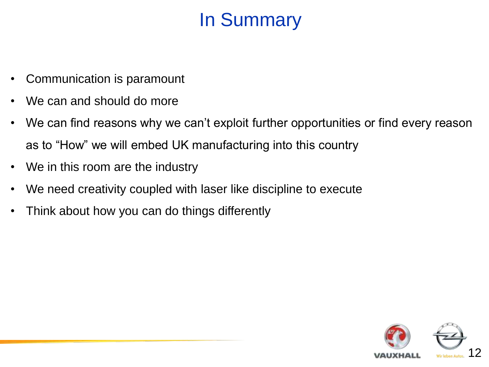## In Summary

- Communication is paramount
- We can and should do more
- We can find reasons why we can't exploit further opportunities or find every reason as to "How" we will embed UK manufacturing into this country
- We in this room are the industry
- We need creativity coupled with laser like discipline to execute
- Think about how you can do things differently

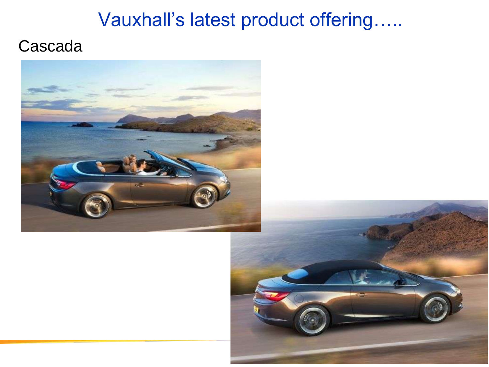### Vauxhall's latest product offering.....

#### Cascada



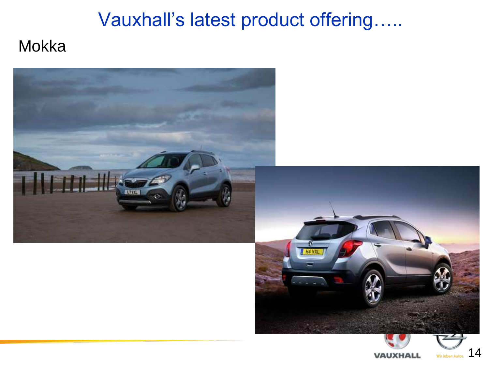# Vauxhall's latest product offering.....

#### Mokka

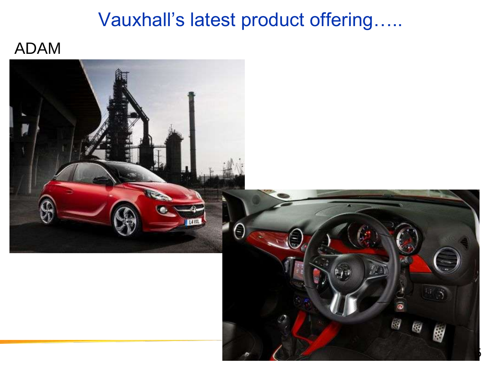#### Vauxhall's latest product offering.....

#### **ADAM**

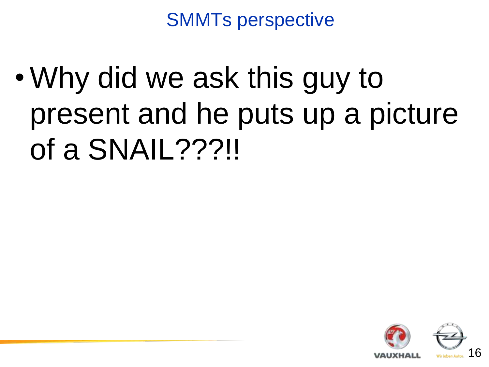SMMTs perspective

• Why did we ask this guy to present and he puts up a picture of a SNAIL???!!